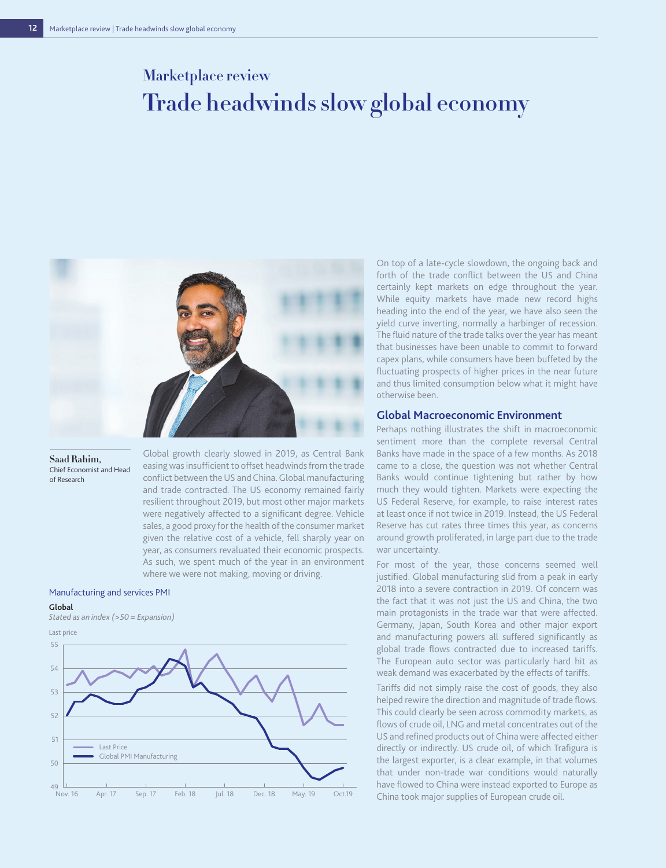# **Marketplace review Trade headwinds slow global economy**



**Saad Rahim,**  Chief Economist and Head of Research

Global growth clearly slowed in 2019, as Central Bank easing was insufficient to offset headwinds from the trade conflict between the US and China. Global manufacturing and trade contracted. The US economy remained fairly resilient throughout 2019, but most other major markets were negatively affected to a significant degree. Vehicle sales, a good proxy for the health of the consumer market given the relative cost of a vehicle, fell sharply year on year, as consumers revaluated their economic prospects. As such, we spent much of the year in an environment where we were not making, moving or driving.

## Manufacturing and services PMI

### **Global**

*Stated as an index (>50 = Expansion)*



On top of a late-cycle slowdown, the ongoing back and forth of the trade conflict between the US and China certainly kept markets on edge throughout the year. While equity markets have made new record highs heading into the end of the year, we have also seen the yield curve inverting, normally a harbinger of recession. The fluid nature of the trade talks over the year has meant that businesses have been unable to commit to forward capex plans, while consumers have been buffeted by the fluctuating prospects of higher prices in the near future and thus limited consumption below what it might have otherwise been.

# **Global Macroeconomic Environment**

Perhaps nothing illustrates the shift in macroeconomic sentiment more than the complete reversal Central Banks have made in the space of a few months. As 2018 came to a close, the question was not whether Central Banks would continue tightening but rather by how much they would tighten. Markets were expecting the US Federal Reserve, for example, to raise interest rates at least once if not twice in 2019. Instead, the US Federal Reserve has cut rates three times this year, as concerns around growth proliferated, in large part due to the trade war uncertainty.

For most of the year, those concerns seemed well justified. Global manufacturing slid from a peak in early 2018 into a severe contraction in 2019. Of concern was the fact that it was not just the US and China, the two main protagonists in the trade war that were affected. Germany, Japan, South Korea and other major export and manufacturing powers all suffered significantly as global trade flows contracted due to increased tariffs. The European auto sector was particularly hard hit as weak demand was exacerbated by the effects of tariffs.

Tariffs did not simply raise the cost of goods, they also helped rewire the direction and magnitude of trade flows. This could clearly be seen across commodity markets, as flows of crude oil, LNG and metal concentrates out of the US and refined products out of China were affected either directly or indirectly. US crude oil, of which Trafigura is the largest exporter, is a clear example, in that volumes that under non-trade war conditions would naturally have flowed to China were instead exported to Europe as China took major supplies of European crude oil.